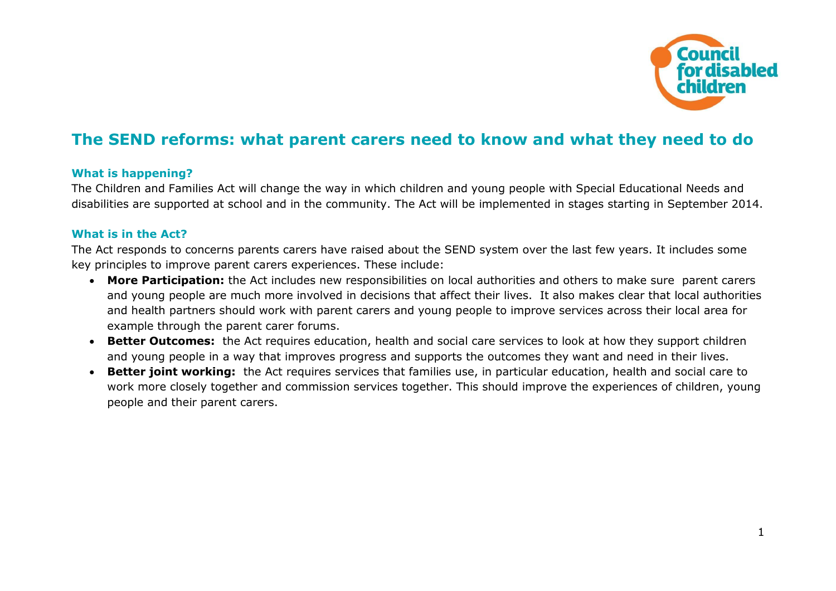

# **The SEND reforms: what parent carers need to know and what they need to do**

## **What is happening?**

The Children and Families Act will change the way in which children and young people with Special Educational Needs and disabilities are supported at school and in the community. The Act will be implemented in stages starting in September 2014.

### **What is in the Act?**

The Act responds to concerns parents carers have raised about the SEND system over the last few years. It includes some key principles to improve parent carers experiences. These include:

- **More Participation:** the Act includes new responsibilities on local authorities and others to make sure parent carers and young people are much more involved in decisions that affect their lives. It also makes clear that local authorities and health partners should work with parent carers and young people to improve services across their local area for example through the parent carer forums.
- **Better Outcomes:** the Act requires education, health and social care services to look at how they support children and young people in a way that improves progress and supports the outcomes they want and need in their lives.
- **Better joint working:** the Act requires services that families use, in particular education, health and social care to work more closely together and commission services together. This should improve the experiences of children, young people and their parent carers.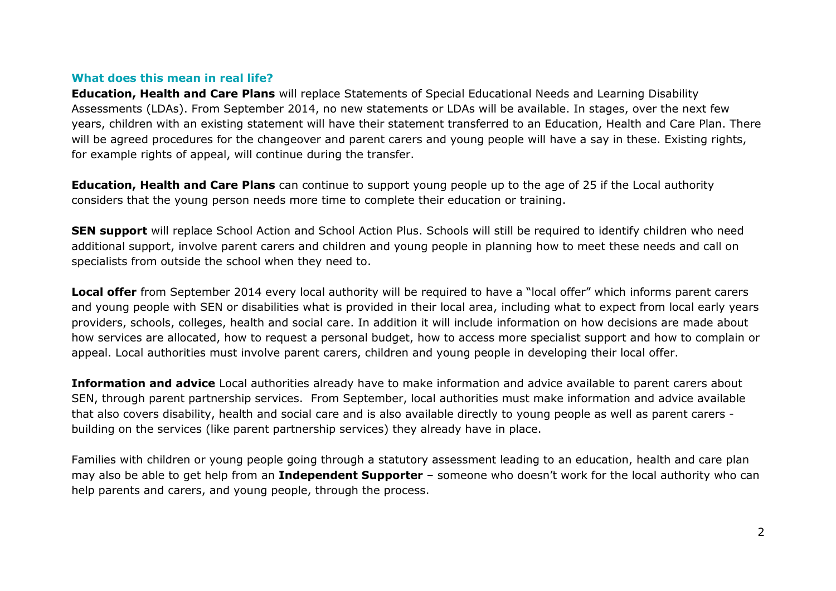#### **What does this mean in real life?**

**Education, Health and Care Plans** will replace Statements of Special Educational Needs and Learning Disability Assessments (LDAs). From September 2014, no new statements or LDAs will be available. In stages, over the next few years, children with an existing statement will have their statement transferred to an Education, Health and Care Plan. There will be agreed procedures for the changeover and parent carers and young people will have a say in these. Existing rights, for example rights of appeal, will continue during the transfer.

**Education, Health and Care Plans** can continue to support young people up to the age of 25 if the Local authority considers that the young person needs more time to complete their education or training.

**SEN support** will replace School Action and School Action Plus. Schools will still be required to identify children who need additional support, involve parent carers and children and young people in planning how to meet these needs and call on specialists from outside the school when they need to.

**Local offer** from September 2014 every local authority will be required to have a "local offer" which informs parent carers and young people with SEN or disabilities what is provided in their local area, including what to expect from local early years providers, schools, colleges, health and social care. In addition it will include information on how decisions are made about how services are allocated, how to request a personal budget, how to access more specialist support and how to complain or appeal. Local authorities must involve parent carers, children and young people in developing their local offer.

**Information and advice** Local authorities already have to make information and advice available to parent carers about SEN, through parent partnership services. From September, local authorities must make information and advice available that also covers disability, health and social care and is also available directly to young people as well as parent carers building on the services (like parent partnership services) they already have in place.

Families with children or young people going through a statutory assessment leading to an education, health and care plan may also be able to get help from an **Independent Supporter** – someone who doesn't work for the local authority who can help parents and carers, and young people, through the process.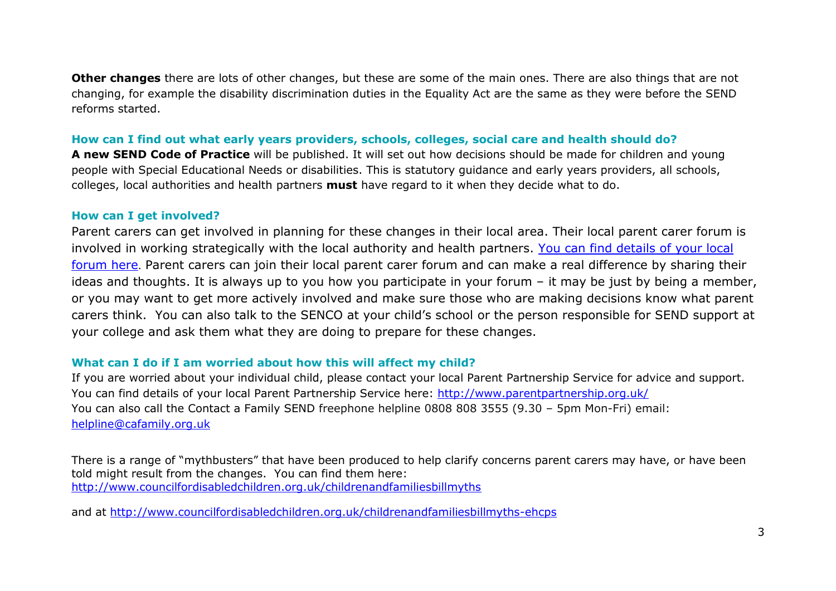**Other changes** there are lots of other changes, but these are some of the main ones. There are also things that are not changing, for example the disability discrimination duties in the Equality Act are the same as they were before the SEND reforms started.

## **How can I find out what early years providers, schools, colleges, social care and health should do?**

**A new SEND Code of Practice** will be published. It will set out how decisions should be made for children and young people with Special Educational Needs or disabilities. This is statutory guidance and early years providers, all schools, colleges, local authorities and health partners **must** have regard to it when they decide what to do.

#### **How can I get involved?**

Parent carers can get involved in planning for these changes in their local area. Their local parent carer forum is involved in working strategically with the local authority and health partners. [You can find details of your local](http://www.nnpcf.org.uk/)  [forum here](http://www.nnpcf.org.uk/). Parent carers can join their local parent carer forum and can make a real difference by sharing their ideas and thoughts. It is always up to you how you participate in your forum – it may be just by being a member, or you may want to get more actively involved and make sure those who are making decisions know what parent carers think. You can also talk to the SENCO at your child's school or the person responsible for SEND support at your college and ask them what they are doing to prepare for these changes.

### **What can I do if I am worried about how this will affect my child?**

If you are worried about your individual child, please contact your local Parent Partnership Service for advice and support. You can find details of your local Parent Partnership Service here:<http://www.parentpartnership.org.uk/> You can also call the Contact a Family SEND freephone helpline 0808 808 3555 (9.30 – 5pm Mon-Fri) email: [helpline@cafamily.org.uk](mailto:helpline@cafamily.org.uk)

There is a range of "mythbusters" that have been produced to help clarify concerns parent carers may have, or have been told might result from the changes. You can find them here: <http://www.councilfordisabledchildren.org.uk/childrenandfamiliesbillmyths>

and at <http://www.councilfordisabledchildren.org.uk/childrenandfamiliesbillmyths-ehcps>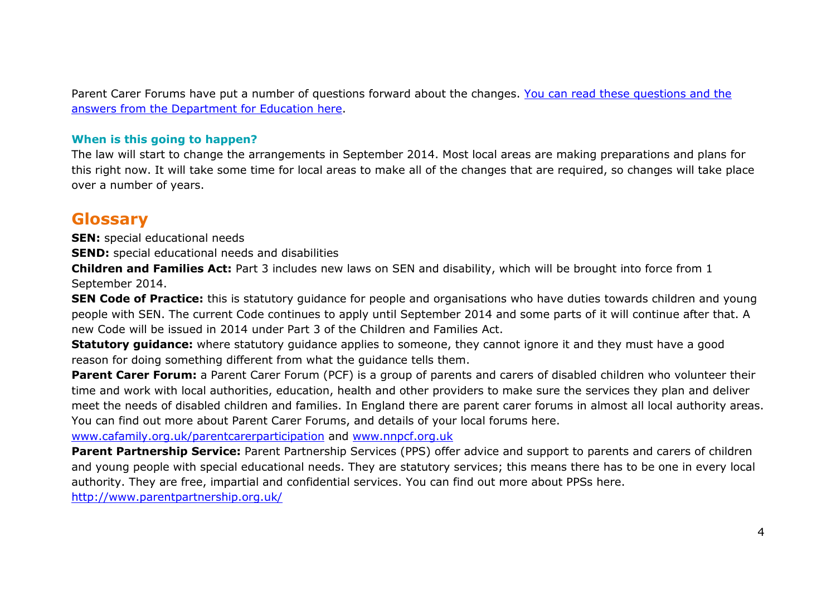Parent Carer Forums have put a number of questions forward about the changes. [You can read these](https://docs.google.com/viewer?a=v&pid=sites&srcid=ZGVmYXVsdGRvbWFpbnxubnBjZnRlbXB8Z3g6NzBlM2NhNDUxYTA2ZjA1NA) questions and the [answers from the Department for Education here.](https://docs.google.com/viewer?a=v&pid=sites&srcid=ZGVmYXVsdGRvbWFpbnxubnBjZnRlbXB8Z3g6NzBlM2NhNDUxYTA2ZjA1NA)

## **When is this going to happen?**

The law will start to change the arrangements in September 2014. Most local areas are making preparations and plans for this right now. It will take some time for local areas to make all of the changes that are required, so changes will take place over a number of years.

## **Glossary**

**SEN:** special educational needs

**SEND:** special educational needs and disabilities

**Children and Families Act:** Part 3 includes new laws on SEN and disability, which will be brought into force from 1 September 2014.

**SEN Code of Practice:** this is statutory guidance for people and organisations who have duties towards children and young people with SEN. The current Code continues to apply until September 2014 and some parts of it will continue after that. A new Code will be issued in 2014 under Part 3 of the Children and Families Act.

**Statutory guidance:** where statutory guidance applies to someone, they cannot ignore it and they must have a good reason for doing something different from what the guidance tells them.

**Parent Carer Forum:** a Parent Carer Forum (PCF) is a group of parents and carers of disabled children who volunteer their time and work with local authorities, education, health and other providers to make sure the services they plan and deliver meet the needs of disabled children and families. In England there are parent carer forums in almost all local authority areas. You can find out more about Parent Carer Forums, and details of your local forums here.

[www.cafamily.org.uk/parentcarerparticipation](http://www.cafamily.org.uk/parentcarerparticipation) and [www.nnpcf.org.uk](http://www.nnpcf.org.uk/)

**Parent Partnership Service:** Parent Partnership Services (PPS) offer advice and support to parents and carers of children and young people with special educational needs. They are statutory services; this means there has to be one in every local authority. They are free, impartial and confidential services. You can find out more about PPSs here.

<http://www.parentpartnership.org.uk/>